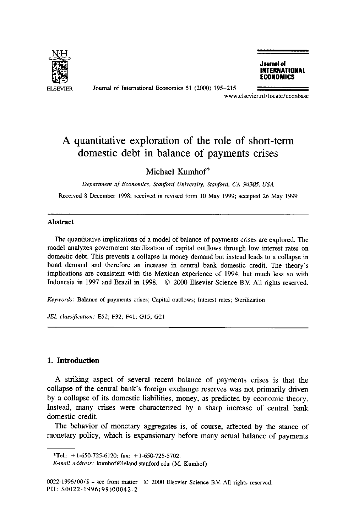

Journal of International Economics 51 (2000) 195-215

**Journal of INTERNATIONAL ECONOMICS** 

www.elsevier.nl/locate/econbase

## **A quantitative exploration of the role of short-term domestic debt in balance of payments crises**

### Michael Kumhof\*

*Department of Economics, Stanford University, Stanford, CA 94305, USA* 

Received 8 December 1998; received in revised form 10 May 1999; accepted 26 May 1999

#### **Abstract**

The quantitative implications of a model of balance of payments crises are explored. The model analyzes government sterilization of capital outflows through low interest rates on domestic debt. This prevents a collapse in money demand but instead leads to a collapse in bond demand and therefore an increase in central bank domestic credit. The theory's implications are consistent with the Mexican experience of 1994, but much less so with Indonesia in 1997 and Brazil in 1998. © 2000 Elsevier Science B.V. All rights reserved.

*Keywords:* Balance of payments crises; Capital outflows; Interest rates; Sterilization

*JEL classification:* E52; F32; F41; G15; G21

#### **1. Introduction**

A striking aspect of several recent balance of payments crises is that the collapse of the central bank's foreign exchange reserves was not primarily driven by a collapse of its domestic liabilities, money, as predicted by economic theory. Instead, many crises were characterized by a sharp increase of central bank domestic credit.

The behavior of monetary aggregates is, of course, affected by the stance of monetary policy, which is expansionary before many actual balance of payments

<sup>\*</sup>Tel.:  $+1$ -650-725-6120; fax:  $+1$ -650-725-5702.

*E-mail address:* kumhof@leland.stanford.edu (M. Kumhof)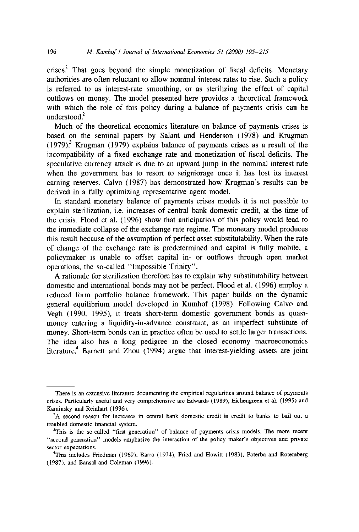crises.<sup>1</sup> That goes beyond the simple monetization of fiscal deficits. Monetary authorities are often reluctant to allow nominal interest rates to rise. Such a policy is referred to as interest-rate smoothing, or as sterilizing the effect of capital outflows on money. The model presented here provides a theoretical framework with which the role of this policy during a balance of payments crisis can be understood. $2$ 

Much of the theoretical economics literature on balance of payments crises is based on the seminal papers by Salant and Henderson (1978) and Krugman  $(1979)^3$ . Krugman (1979) explains balance of payments crises as a result of the incompatibility of a fixed exchange rate and monetization of fiscal deficits. The speculative currency attack is due to an upward jump in the nominal interest rate when the government has to resort to seigniorage once it has lost its interest earning reserves. Calvo (1987) has demonstrated how Krugman's results can be derived in a fully optimizing representative agent model.

In standard monetary balance of payments crises models it is not possible to explain sterilization, i.e. increases of central bank domestic credit, at the time of the crisis. Flood et al. (1996) show that anticipation of this policy would lead to the immediate collapse of the exchange rate regime. The monetary model produces this result because of the assumption of perfect asset substitutability. When the rate of change of the exchange rate is predetermined and capital is fully mobile, a policymaker is unable to offset capital in- or outflows through open market operations, the so-called "Impossible Trinity".

A rationale for sterilization therefore has to explain why substitutability between domestic and international bonds may not be perfect. Flood et al. (1996) employ a reduced form portfolio balance framework. This paper builds on the dynamic general equilibrium model developed in Kumhof (1998). Following Calvo and Vegh (1990, 1995), it treats short-term domestic government bonds as quasimoney entering a liquidity-in-advance constraint, as an imperfect substitute of money. Short-term bonds can in practice often be used to settle larger transactions. The idea also has a long pedigree in the closed economy macroeconomics literature.<sup>4</sup> Barnett and Zhou  $(1994)$  argue that interest-yielding assets are joint

<sup>~</sup>There is an extensive literature documenting the empirical regularities around balance of payments crises. Particularly useful and very comprehensive are Edwards (1989), Eichengreen et al. (1995) and Kaminsky and Reinhart (1996).

<sup>&</sup>lt;sup>2</sup>A second reason for increases in central bank domestic credit is credit to banks to bail out a troubled domestic financial system.

<sup>&</sup>lt;sup>3</sup>This is the so-called "first generation" of balance of payments crisis models. The more recent "second generation" models emphasize the interaction of the policy maker's objectives and private sector expectations.

<sup>4</sup>This includes Friedman (1969), Barro (1974), Fried and Howitt (1983), Poterba and Rotemberg (1987), and Bansal and Coleman (1996).